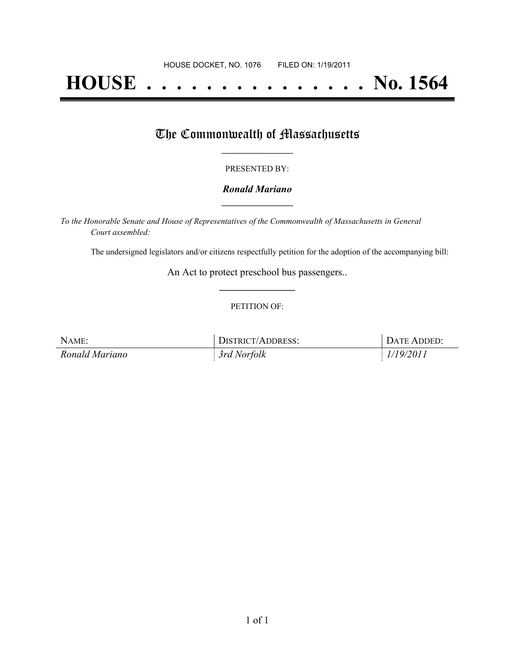# **HOUSE . . . . . . . . . . . . . . . No. 1564**

## The Commonwealth of Massachusetts

#### PRESENTED BY:

#### *Ronald Mariano* **\_\_\_\_\_\_\_\_\_\_\_\_\_\_\_\_\_**

*To the Honorable Senate and House of Representatives of the Commonwealth of Massachusetts in General Court assembled:*

The undersigned legislators and/or citizens respectfully petition for the adoption of the accompanying bill:

An Act to protect preschool bus passengers.. **\_\_\_\_\_\_\_\_\_\_\_\_\_\_\_**

#### PETITION OF:

| NAME:          | DISTRICT/ADDRESS: | DATE ADDED: |
|----------------|-------------------|-------------|
| Ronald Mariano | 3rd Norfolk       | 1/19/2011   |